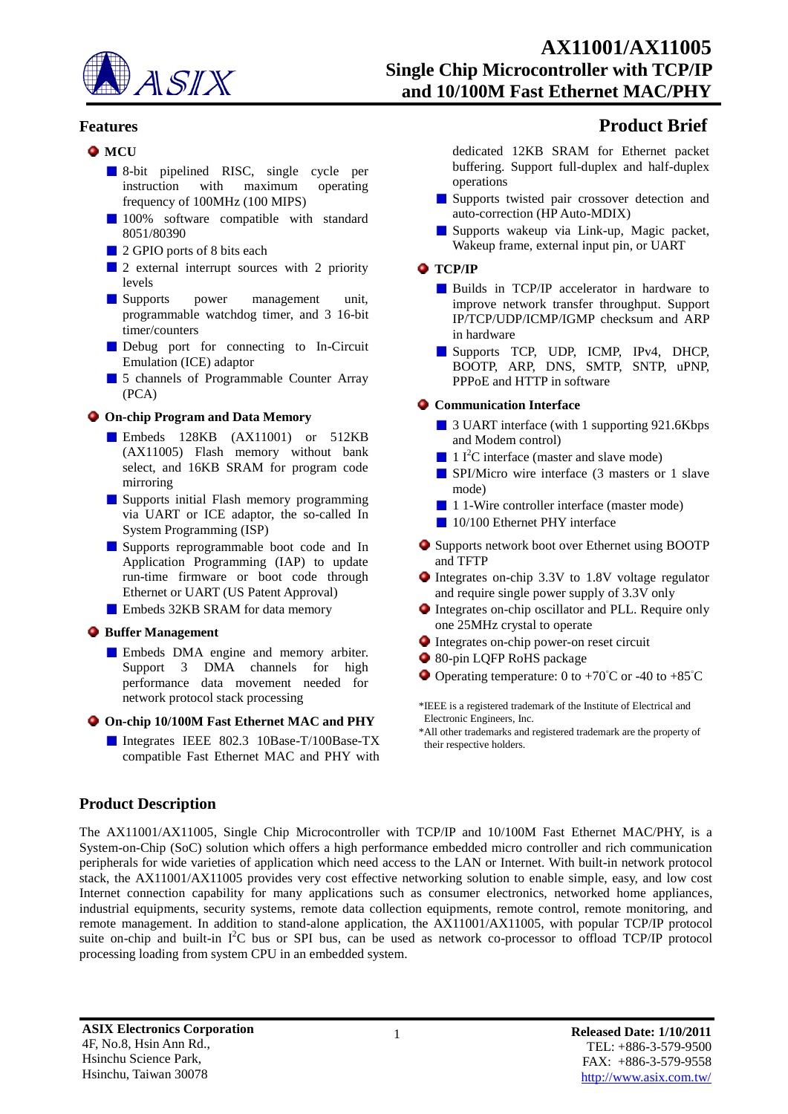

- **O** MCU
	- 8-bit pipelined RISC, single cycle per instruction with maximum operating frequency of 100MHz (100 MIPS)
	- 100% software compatible with standard 8051/80390
	- 2 GPIO ports of 8 bits each
	- 2 external interrupt sources with 2 priority levels
	- **Supports** power management unit, programmable watchdog timer, and 3 16-bit timer/counters
	- Debug port for connecting to In-Circuit Emulation (ICE) adaptor
	- 5 channels of Programmable Counter Array (PCA)

### **On-chip Program and Data Memory**

- Embeds 128KB (AX11001) or 512KB (AX11005) Flash memory without bank select, and 16KB SRAM for program code mirroring
- **Supports initial Flash memory programming** via UART or ICE adaptor, the so-called In System Programming (ISP)
- Supports reprogrammable boot code and In Application Programming (IAP) to update run-time firmware or boot code through Ethernet or UART (US Patent Approval)
- **Embeds 32KB SRAM for data memory**

### **Buffer Management**

- **Embeds DMA** engine and memory arbiter. Support 3 DMA channels for high performance data movement needed for network protocol stack processing
- **On-chip 10/100M Fast Ethernet MAC and PHY**
	- Integrates IEEE 802.3 10Base-T/100Base-TX compatible Fast Ethernet MAC and PHY with

# **Features Product Brief**

dedicated 12KB SRAM for Ethernet packet buffering. Support full-duplex and half-duplex operations

- Supports twisted pair crossover detection and auto-correction (HP Auto-MDIX)
- Supports wakeup via Link-up, Magic packet, Wakeup frame, external input pin, or UART

#### **TCP/IP**

- **Builds** in TCP/IP accelerator in hardware to improve network transfer throughput. Support IP/TCP/UDP/ICMP/IGMP checksum and ARP in hardware
- Supports TCP, UDP, ICMP, IPv4, DHCP, BOOTP, ARP, DNS, SMTP, SNTP, uPNP, PPPoE and HTTP in software

### **Communication Interface**

- 3 UART interface (with 1 supporting 921.6Kbps and Modem control)
- $\blacksquare$  1 I<sup>2</sup>C interface (master and slave mode)
- SPI/Micro wire interface (3 masters or 1 slave mode)
- 1 1-Wire controller interface (master mode)
- 10/100 Ethernet PHY interface
- Supports network boot over Ethernet using BOOTP and TFTP
- Integrates on-chip 3.3V to 1.8V voltage regulator and require single power supply of 3.3V only
- Integrates on-chip oscillator and PLL. Require only one 25MHz crystal to operate
- Integrates on-chip power-on reset circuit
- 80-pin LQFP RoHS package
- $\bullet$  Operating temperature: 0 to +70<sup>°</sup>C or -40 to +85<sup>°</sup>C

\*IEEE is a registered trademark of the Institute of Electrical and Electronic Engineers, Inc.

\*All other trademarks and registered trademark are the property of their respective holders.

## **Product Description**

The AX11001/AX11005, Single Chip Microcontroller with TCP/IP and 10/100M Fast Ethernet MAC/PHY, is a System-on-Chip (SoC) solution which offers a high performance embedded micro controller and rich communication peripherals for wide varieties of application which need access to the LAN or Internet. With built-in network protocol stack, the AX11001/AX11005 provides very cost effective networking solution to enable simple, easy, and low cost Internet connection capability for many applications such as consumer electronics, networked home appliances, industrial equipments, security systems, remote data collection equipments, remote control, remote monitoring, and remote management. In addition to stand-alone application, the AX11001/AX11005, with popular TCP/IP protocol suite on-chip and built-in I<sup>2</sup>C bus or SPI bus, can be used as network co-processor to offload TCP/IP protocol processing loading from system CPU in an embedded system.